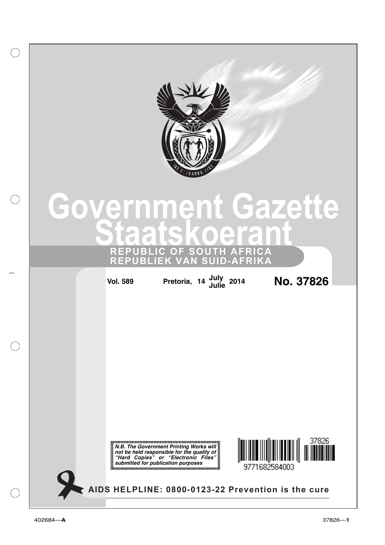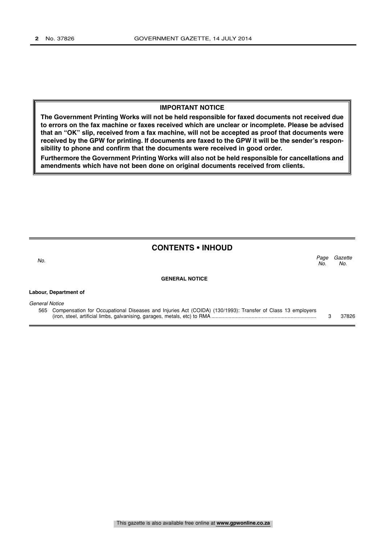### **IMPORTANT NOTICE**

**The Government Printing Works will not be held responsible for faxed documents not received due to errors on the fax machine or faxes received which are unclear or incomplete. Please be advised that an "OK" slip, received from a fax machine, will not be accepted as proof that documents were received by the GPW for printing. If documents are faxed to the GPW it will be the sender's responsibility to phone and confirm that the documents were received in good order.**

**Furthermore the Government Printing Works will also not be held responsible for cancellations and amendments which have not been done on original documents received from clients.**

## **CONTENTS • INHOUD**

Page Gazette No.

No.  $\sim$  No.

**Labour, Department of**

#### **GENERAL NOTICE**

| General Notice |                                                                                                                |  |       |  |  |  |
|----------------|----------------------------------------------------------------------------------------------------------------|--|-------|--|--|--|
|                | 565 Compensation for Occupational Diseases and Injuries Act (COIDA) (130/1993): Transfer of Class 13 employers |  |       |  |  |  |
|                |                                                                                                                |  | 37826 |  |  |  |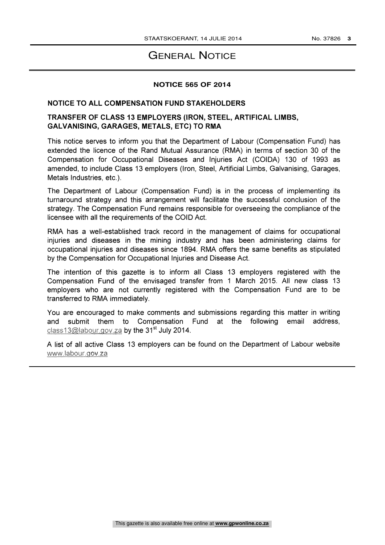# GENERAL NOTICE

## **NOTICE 565 OF 2014**

## NOTICE TO ALL COMPENSATION FUND STAKEHOLDERS

# TRANSFER OF CLASS 13 EMPLOYERS (IRON, STEEL, ARTIFICAL LIMBS, GALVANISING, GARAGES, METALS, ETC) TO RMA

This notice serves to inform you that the Department of Labour (Compensation Fund) has extended the licence of the Rand Mutual Assurance (RMA) in terms of section 30 of the Compensation for Occupational Diseases and Injuries Act (COIDA) 130 of 1993 as amended, to include Class 13 employers (Iron, Steel, Artificial Limbs, Galvanising, Garages, Metals Industries, etc.).

The Department of Labour (Compensation Fund) is in the process of implementing its turnaround strategy and this arrangement will facilitate the successful conclusion of the strategy. The Compensation Fund remains responsible for overseeing the compliance of the licensee with all the requirements of the COID Act.

RMA has a well-established track record in the management of claims for occupational injuries and diseases in the mining industry and has been administering claims for occupational injuries and diseases since 1894. RMA offers the same benefits as stipulated by the Compensation for Occupational Injuries and Disease Act.

The intention of this gazette is to inform all Class 13 employers registered with the Compensation Fund of the envisaged transfer from <sup>1</sup> March 2015. All new class 13 employers who are not currently registered with the Compensation Fund are to be transferred to RMA immediately.

You are encouraged to make comments and submissions regarding this matter in writing and submit them to Compensation Fund at the following email address, class13@labour.gov.za by the 31<sup>st</sup> July 2014.

A list of all active Class 13 employers can be found on the Department of Labour website www.labour.gov.za